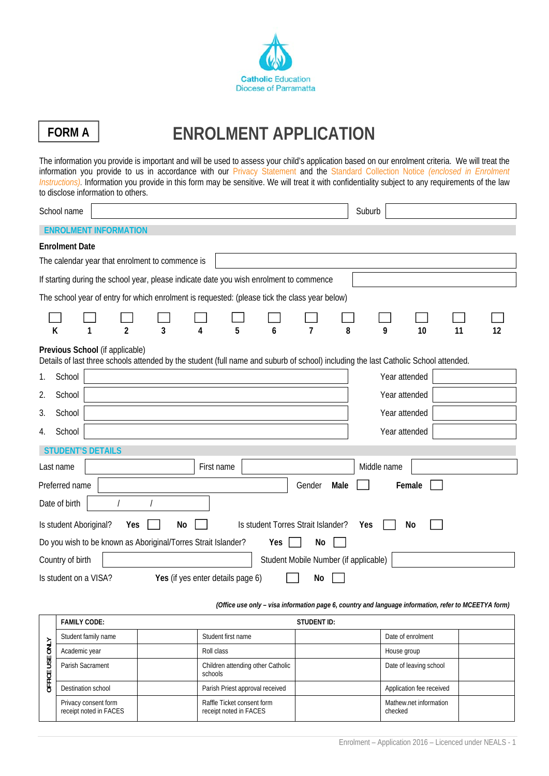

# FORM A | ENROLMENT APPLICATION

The information you provide is important and will be used to assess your child's application based on our enrolment criteria. We will treat the information you provide to us in accordance with our Privacy Statement and the Standard Collection Notice *(enclosed in Enrolment Instructions)*. Information you provide in this form may be sensitive. We will treat it with confidentiality subject to any requirements of the law to disclose information to others.

| School name              |                                                                                                                                                                        |    |                                   |   |     |                                       |      | Suburb        |        |    |    |
|--------------------------|------------------------------------------------------------------------------------------------------------------------------------------------------------------------|----|-----------------------------------|---|-----|---------------------------------------|------|---------------|--------|----|----|
|                          | <b>ENROLMENT INFORMATION</b>                                                                                                                                           |    |                                   |   |     |                                       |      |               |        |    |    |
| <b>Enrolment Date</b>    |                                                                                                                                                                        |    |                                   |   |     |                                       |      |               |        |    |    |
|                          | The calendar year that enrolment to commence is                                                                                                                        |    |                                   |   |     |                                       |      |               |        |    |    |
|                          | If starting during the school year, please indicate date you wish enrolment to commence                                                                                |    |                                   |   |     |                                       |      |               |        |    |    |
|                          | The school year of entry for which enrolment is requested: (please tick the class year below)                                                                          |    |                                   |   |     |                                       |      |               |        |    |    |
| K                        | $\overline{a}$                                                                                                                                                         | 3  | 4                                 | 5 | 6   | 7                                     | 8    | 9             | 10     | 11 | 12 |
|                          | Previous School (if applicable)<br>Details of last three schools attended by the student (full name and suburb of school) including the last Catholic School attended. |    |                                   |   |     |                                       |      |               |        |    |    |
| School<br>1.             |                                                                                                                                                                        |    |                                   |   |     |                                       |      | Year attended |        |    |    |
| 2.<br>School             |                                                                                                                                                                        |    |                                   |   |     |                                       |      | Year attended |        |    |    |
| 3.<br>School             |                                                                                                                                                                        |    |                                   |   |     |                                       |      | Year attended |        |    |    |
| School<br>4.             |                                                                                                                                                                        |    |                                   |   |     |                                       |      | Year attended |        |    |    |
| <b>STUDENT'S DETAILS</b> |                                                                                                                                                                        |    |                                   |   |     |                                       |      |               |        |    |    |
| Last name                |                                                                                                                                                                        |    | First name                        |   |     |                                       |      | Middle name   |        |    |    |
| Preferred name           |                                                                                                                                                                        |    |                                   |   |     | Gender                                | Male |               | Female |    |    |
| Date of birth            |                                                                                                                                                                        |    |                                   |   |     |                                       |      |               |        |    |    |
| Is student Aboriginal?   | Yes                                                                                                                                                                    | No |                                   |   |     | Is student Torres Strait Islander?    |      | Yes           | No     |    |    |
|                          | Do you wish to be known as Aboriginal/Torres Strait Islander?                                                                                                          |    |                                   |   | Yes | No                                    |      |               |        |    |    |
| Country of birth         |                                                                                                                                                                        |    |                                   |   |     | Student Mobile Number (if applicable) |      |               |        |    |    |
| Is student on a VISA?    |                                                                                                                                                                        |    | Yes (if yes enter details page 6) |   |     | No                                    |      |               |        |    |    |

#### *(Office use only – visa information page 6, country and language information, refer to MCEETYA form)*

|           | <b>FAMILY CODE:</b>                            |                                                      | <b>STUDENT ID:</b> |                                   |  |  |
|-----------|------------------------------------------------|------------------------------------------------------|--------------------|-----------------------------------|--|--|
|           | Student family name                            | Student first name                                   |                    | Date of enrolment                 |  |  |
| <b>AL</b> | Academic year                                  | Roll class                                           |                    | House group                       |  |  |
| USE<br>쓷  | Parish Sacrament                               | Children attending other Catholic<br>schools         |                    | Date of leaving school            |  |  |
| ਠ         | Destination school                             | Parish Priest approval received                      |                    | Application fee received          |  |  |
|           | Privacy consent form<br>receipt noted in FACES | Raffle Ticket consent form<br>receipt noted in FACES |                    | Mathew.net information<br>checked |  |  |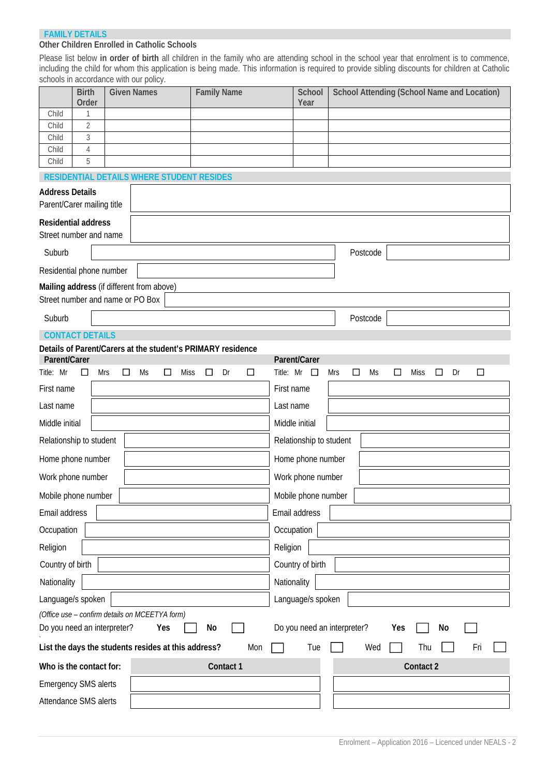#### **FAMILY DETAILS**

#### **Other Children Enrolled in Catholic Schools**

Please list below **in order of birth** all children in the family who are attending school in the school year that enrolment is to commence, including the child for whom this application is being made. This information is required to provide sibling discounts for children at Catholic schools in accordance with our policy.

|                                                      | <b>Birth</b><br>Order  |               | $\sim$ $\sim$ poncy<br><b>Given Names</b>           | <b>Family Name</b>                                          | School<br>Year                   |            | School Attending (School Name and Location) |        |                       |    |        |  |
|------------------------------------------------------|------------------------|---------------|-----------------------------------------------------|-------------------------------------------------------------|----------------------------------|------------|---------------------------------------------|--------|-----------------------|----|--------|--|
| Child                                                |                        |               |                                                     |                                                             |                                  |            |                                             |        |                       |    |        |  |
| Child<br>Child                                       | $\overline{2}$<br>3    |               |                                                     |                                                             |                                  |            |                                             |        |                       |    |        |  |
| Child                                                | 4                      |               |                                                     |                                                             |                                  |            |                                             |        |                       |    |        |  |
| Child                                                | 5                      |               |                                                     |                                                             |                                  |            |                                             |        |                       |    |        |  |
|                                                      |                        |               | RESIDENTIAL DETAILS WHERE STUDENT RESIDES           |                                                             |                                  |            |                                             |        |                       |    |        |  |
| <b>Address Details</b><br>Parent/Carer mailing title |                        |               |                                                     |                                                             |                                  |            |                                             |        |                       |    |        |  |
| <b>Residential address</b><br>Street number and name |                        |               |                                                     |                                                             |                                  |            |                                             |        |                       |    |        |  |
| Suburb                                               |                        |               |                                                     |                                                             |                                  |            | Postcode                                    |        |                       |    |        |  |
| Residential phone number                             |                        |               |                                                     |                                                             |                                  |            |                                             |        |                       |    |        |  |
|                                                      |                        |               | Mailing address (if different from above)           |                                                             |                                  |            |                                             |        |                       |    |        |  |
| Street number and name or PO Box                     |                        |               |                                                     |                                                             |                                  |            |                                             |        |                       |    |        |  |
| Suburb                                               |                        |               |                                                     |                                                             |                                  |            | Postcode                                    |        |                       |    |        |  |
|                                                      | <b>CONTACT DETAILS</b> |               |                                                     |                                                             |                                  |            |                                             |        |                       |    |        |  |
|                                                      |                        |               |                                                     | Details of Parent/Carers at the student's PRIMARY residence |                                  |            |                                             |        |                       |    |        |  |
| Parent/Carer<br>Title: Mr                            | □                      | Mrs<br>$\Box$ | Ms<br>□<br><b>Miss</b>                              | $\Box$<br>Dr<br>$\Box$                                      | Parent/Carer<br>Title: $Mr \Box$ | <b>Mrs</b> | Ms<br>$\Box$                                | $\Box$ | <b>Miss</b><br>$\Box$ | Dr | $\Box$ |  |
| First name                                           |                        |               |                                                     |                                                             | First name                       |            |                                             |        |                       |    |        |  |
| Last name                                            |                        |               |                                                     |                                                             | Last name                        |            |                                             |        |                       |    |        |  |
| Middle initial                                       |                        |               |                                                     |                                                             | Middle initial                   |            |                                             |        |                       |    |        |  |
| Relationship to student                              |                        |               |                                                     |                                                             | Relationship to student          |            |                                             |        |                       |    |        |  |
| Home phone number                                    |                        |               |                                                     |                                                             | Home phone number                |            |                                             |        |                       |    |        |  |
| Work phone number                                    |                        |               |                                                     |                                                             | Work phone number                |            |                                             |        |                       |    |        |  |
| Mobile phone number                                  |                        |               |                                                     |                                                             | Mobile phone number              |            |                                             |        |                       |    |        |  |
| Email address                                        |                        |               |                                                     |                                                             | Email address                    |            |                                             |        |                       |    |        |  |
| Occupation                                           |                        |               |                                                     |                                                             | Occupation                       |            |                                             |        |                       |    |        |  |
| Religion                                             |                        |               |                                                     |                                                             | Religion                         |            |                                             |        |                       |    |        |  |
| Country of birth                                     |                        |               |                                                     |                                                             | Country of birth                 |            |                                             |        |                       |    |        |  |
| Nationality                                          |                        |               |                                                     |                                                             | Nationality                      |            |                                             |        |                       |    |        |  |
| Language/s spoken                                    |                        |               |                                                     |                                                             | Language/s spoken                |            |                                             |        |                       |    |        |  |
|                                                      |                        |               | (Office use - confirm details on MCEETYA form)      |                                                             |                                  |            |                                             |        |                       |    |        |  |
| Do you need an interpreter?                          |                        |               | Yes                                                 | No                                                          | Do you need an interpreter?      |            |                                             | Yes    |                       | No |        |  |
|                                                      |                        |               | List the days the students resides at this address? | Mon                                                         | Tue                              |            | Wed                                         |        | Thu                   |    | Fri    |  |
| Who is the contact for:                              |                        |               |                                                     | Contact 1                                                   |                                  |            |                                             |        | Contact 2             |    |        |  |
| <b>Emergency SMS alerts</b>                          |                        |               |                                                     |                                                             |                                  |            |                                             |        |                       |    |        |  |
| Attendance SMS alerts                                |                        |               |                                                     |                                                             |                                  |            |                                             |        |                       |    |        |  |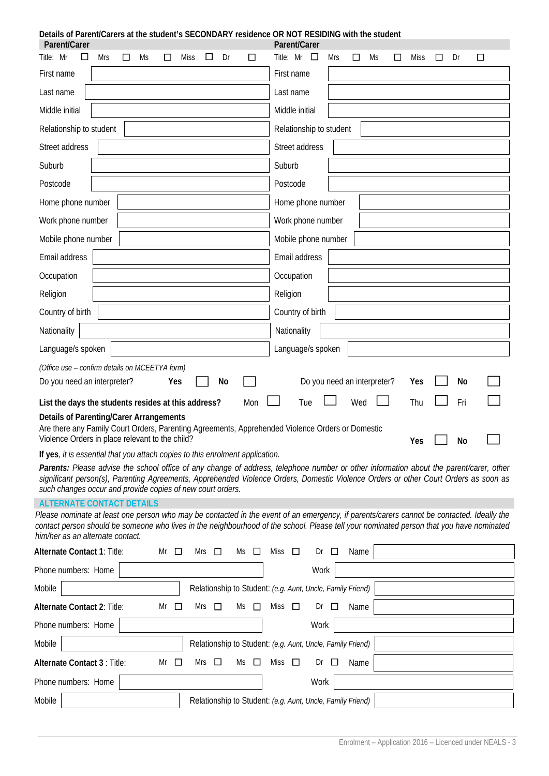| Details of Parent/Carers at the student's SECONDARY residence OR NOT RESIDING with the student<br>Parent/Carer                                                                                        | Parent/Carer                                                                                                                                                                                                                                                                          |
|-------------------------------------------------------------------------------------------------------------------------------------------------------------------------------------------------------|---------------------------------------------------------------------------------------------------------------------------------------------------------------------------------------------------------------------------------------------------------------------------------------|
| Title: Mr<br><b>Mrs</b><br>Dr<br>Ms<br>Miss<br>ப<br>□<br>□<br>ப                                                                                                                                       | Title: Mr<br>Dr<br>Mrs<br><b>Miss</b><br>$\Box$<br>□<br>Ms<br>□<br>$\Box$                                                                                                                                                                                                             |
| First name                                                                                                                                                                                            | First name                                                                                                                                                                                                                                                                            |
| Last name                                                                                                                                                                                             | Last name                                                                                                                                                                                                                                                                             |
| Middle initial                                                                                                                                                                                        | Middle initial                                                                                                                                                                                                                                                                        |
| Relationship to student                                                                                                                                                                               | Relationship to student                                                                                                                                                                                                                                                               |
| Street address                                                                                                                                                                                        | Street address                                                                                                                                                                                                                                                                        |
| Suburb                                                                                                                                                                                                | Suburb                                                                                                                                                                                                                                                                                |
| Postcode                                                                                                                                                                                              | Postcode                                                                                                                                                                                                                                                                              |
| Home phone number                                                                                                                                                                                     | Home phone number                                                                                                                                                                                                                                                                     |
| Work phone number                                                                                                                                                                                     | Work phone number                                                                                                                                                                                                                                                                     |
| Mobile phone number                                                                                                                                                                                   | Mobile phone number                                                                                                                                                                                                                                                                   |
| Email address                                                                                                                                                                                         | Email address                                                                                                                                                                                                                                                                         |
| Occupation                                                                                                                                                                                            | Occupation                                                                                                                                                                                                                                                                            |
| Religion                                                                                                                                                                                              | Religion                                                                                                                                                                                                                                                                              |
| Country of birth                                                                                                                                                                                      | Country of birth                                                                                                                                                                                                                                                                      |
| Nationality                                                                                                                                                                                           | Nationality                                                                                                                                                                                                                                                                           |
| Language/s spoken                                                                                                                                                                                     | Language/s spoken                                                                                                                                                                                                                                                                     |
| (Office use - confirm details on MCEETYA form)                                                                                                                                                        |                                                                                                                                                                                                                                                                                       |
|                                                                                                                                                                                                       |                                                                                                                                                                                                                                                                                       |
| Do you need an interpreter?<br>No<br>Yes                                                                                                                                                              | Do you need an interpreter?<br>No<br>Yes                                                                                                                                                                                                                                              |
| List the days the students resides at this address?<br>Mon                                                                                                                                            | Fri<br>Wed<br>Thu<br>Tue                                                                                                                                                                                                                                                              |
| <b>Details of Parenting/Carer Arrangements</b><br>Are there any Family Court Orders, Parenting Agreements, Apprehended Violence Orders or Domestic<br>Violence Orders in place relevant to the child? |                                                                                                                                                                                                                                                                                       |
| If yes, it is essential that you attach copies to this enrolment application.                                                                                                                         | Yes<br>No                                                                                                                                                                                                                                                                             |
| such changes occur and provide copies of new court orders.                                                                                                                                            | Parents: Please advise the school office of any change of address, telephone number or other information about the parent/carer, other<br>significant person(s), Parenting Agreements, Apprehended Violence Orders, Domestic Violence Orders or other Court Orders as soon as         |
| <b>ALTERNATE CONTACT DETAILS</b>                                                                                                                                                                      |                                                                                                                                                                                                                                                                                       |
| him/her as an alternate contact.                                                                                                                                                                      | Please nominate at least one person who may be contacted in the event of an emergency, if parents/carers cannot be contacted. Ideally the<br>contact person should be someone who lives in the neighbourhood of the school. Please tell your nominated person that you have nominated |
| Alternate Contact 1: Title:<br>Mr<br>⊔<br>Mrs<br>Ms<br>⊔<br>$\Box$                                                                                                                                    | Miss<br>Dr<br>⊔<br>⊔<br>Name                                                                                                                                                                                                                                                          |
| Phone numbers: Home                                                                                                                                                                                   | Work                                                                                                                                                                                                                                                                                  |
| Mobile                                                                                                                                                                                                | Relationship to Student: (e.g. Aunt, Uncle, Family Friend)                                                                                                                                                                                                                            |
| Alternate Contact 2: Title:<br>Mr<br>Mrs<br>□<br>Ms<br>$\Box$<br>Ш                                                                                                                                    | Miss<br>$\Box$<br>Dr<br>Name<br>ப                                                                                                                                                                                                                                                     |
| Phone numbers: Home                                                                                                                                                                                   | Work                                                                                                                                                                                                                                                                                  |
| Mobile                                                                                                                                                                                                | Relationship to Student: (e.g. Aunt, Uncle, Family Friend)                                                                                                                                                                                                                            |
| Alternate Contact 3 : Title:<br>Mr<br>Mrs $\Box$<br>⊔<br>Ms<br>$\Box$                                                                                                                                 | Miss<br>$\Box$<br>Dr<br>Name<br>ப                                                                                                                                                                                                                                                     |
| Phone numbers: Home                                                                                                                                                                                   | Work                                                                                                                                                                                                                                                                                  |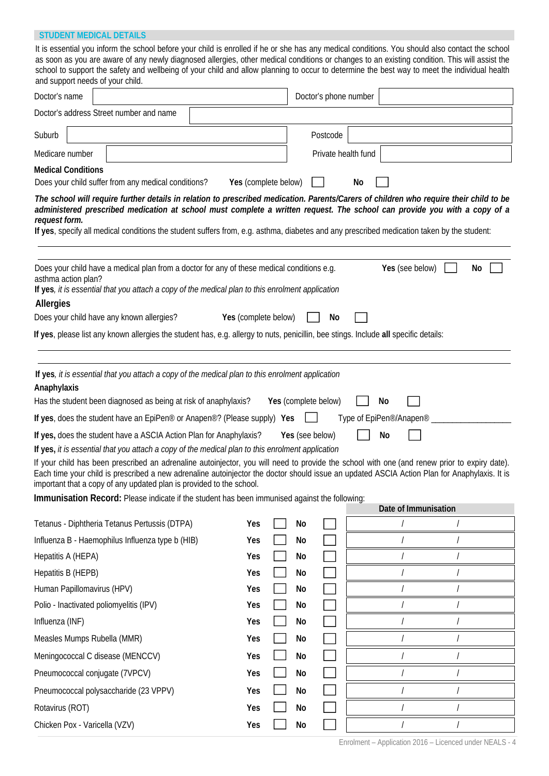### **STUDENT MEDICAL DETAILS**

|                 | and support needs of your child. | It is essential you inform the school before your child is enrolled if he or she has any medical conditions. You should also contact the school<br>as soon as you are aware of any newly diagnosed allergies, other medical conditions or changes to an existing condition. This will assist the<br>school to support the safety and wellbeing of your child and allow planning to occur to determine the best way to meet the individual health                                                                                                                                                                                                                                                                                                                                                                        |                      |    |                                         |    |                                                              |                      |                |    |
|-----------------|----------------------------------|-------------------------------------------------------------------------------------------------------------------------------------------------------------------------------------------------------------------------------------------------------------------------------------------------------------------------------------------------------------------------------------------------------------------------------------------------------------------------------------------------------------------------------------------------------------------------------------------------------------------------------------------------------------------------------------------------------------------------------------------------------------------------------------------------------------------------|----------------------|----|-----------------------------------------|----|--------------------------------------------------------------|----------------------|----------------|----|
| Doctor's name   |                                  |                                                                                                                                                                                                                                                                                                                                                                                                                                                                                                                                                                                                                                                                                                                                                                                                                         |                      |    | Doctor's phone number                   |    |                                                              |                      |                |    |
|                 |                                  | Doctor's address Street number and name                                                                                                                                                                                                                                                                                                                                                                                                                                                                                                                                                                                                                                                                                                                                                                                 |                      |    |                                         |    |                                                              |                      |                |    |
| Suburb          |                                  |                                                                                                                                                                                                                                                                                                                                                                                                                                                                                                                                                                                                                                                                                                                                                                                                                         |                      |    | Postcode                                |    |                                                              |                      |                |    |
| Medicare number |                                  |                                                                                                                                                                                                                                                                                                                                                                                                                                                                                                                                                                                                                                                                                                                                                                                                                         |                      |    | Private health fund                     |    |                                                              |                      |                |    |
|                 | <b>Medical Conditions</b>        |                                                                                                                                                                                                                                                                                                                                                                                                                                                                                                                                                                                                                                                                                                                                                                                                                         |                      |    |                                         |    |                                                              |                      |                |    |
|                 |                                  | Does your child suffer from any medical conditions?                                                                                                                                                                                                                                                                                                                                                                                                                                                                                                                                                                                                                                                                                                                                                                     | Yes (complete below) |    |                                         | No |                                                              |                      |                |    |
| request form.   |                                  | The school will require further details in relation to prescribed medication. Parents/Carers of children who require their child to be<br>administered prescribed medication at school must complete a written request. The school can provide you with a copy of a<br>If yes, specify all medical conditions the student suffers from, e.g. asthma, diabetes and any prescribed medication taken by the student:                                                                                                                                                                                                                                                                                                                                                                                                       |                      |    |                                         |    |                                                              |                      |                |    |
| Allergies       | asthma action plan?              | Does your child have a medical plan from a doctor for any of these medical conditions e.g.<br>If yes, it is essential that you attach a copy of the medical plan to this enrolment application<br>Does your child have any known allergies?                                                                                                                                                                                                                                                                                                                                                                                                                                                                                                                                                                             | Yes (complete below) |    | No                                      |    |                                                              | Yes (see below)      |                | No |
|                 |                                  | If yes, please list any known allergies the student has, e.g. allergy to nuts, penicillin, bee stings. Include all specific details:                                                                                                                                                                                                                                                                                                                                                                                                                                                                                                                                                                                                                                                                                    |                      |    |                                         |    |                                                              |                      |                |    |
| Anaphylaxis     |                                  | Has the student been diagnosed as being at risk of anaphylaxis?<br>If yes, does the student have an EpiPen <sup>®</sup> or Anapen <sup>®</sup> ? (Please supply) Yes<br>If yes, does the student have a ASCIA Action Plan for Anaphylaxis?<br>If yes, it is essential that you attach a copy of the medical plan to this enrolment application<br>If your child has been prescribed an adrenaline autoinjector, you will need to provide the school with one (and renew prior to expiry date).<br>Each time your child is prescribed a new adrenaline autoinjector the doctor should issue an updated ASCIA Action Plan for Anaphylaxis. It is<br>important that a copy of any updated plan is provided to the school.<br>Immunisation Record: Please indicate if the student has been immunised against the following: |                      |    | Yes (complete below)<br>Yes (see below) |    | No<br>Type of EpiPen <sup>®</sup> /Anapen <sup>®</sup><br>No |                      |                |    |
|                 |                                  |                                                                                                                                                                                                                                                                                                                                                                                                                                                                                                                                                                                                                                                                                                                                                                                                                         |                      |    |                                         |    |                                                              | Date of Immunisation |                |    |
|                 |                                  | Tetanus - Diphtheria Tetanus Pertussis (DTPA)                                                                                                                                                                                                                                                                                                                                                                                                                                                                                                                                                                                                                                                                                                                                                                           | Yes                  | No |                                         |    |                                                              |                      |                |    |
|                 |                                  | Influenza B - Haemophilus Influenza type b (HIB)                                                                                                                                                                                                                                                                                                                                                                                                                                                                                                                                                                                                                                                                                                                                                                        | Yes                  | No |                                         |    |                                                              |                      |                |    |
|                 | Hepatitis A (HEPA)               |                                                                                                                                                                                                                                                                                                                                                                                                                                                                                                                                                                                                                                                                                                                                                                                                                         | Yes                  | No |                                         |    |                                                              |                      |                |    |
|                 | Hepatitis B (HEPB)               |                                                                                                                                                                                                                                                                                                                                                                                                                                                                                                                                                                                                                                                                                                                                                                                                                         | Yes                  | No |                                         |    |                                                              |                      |                |    |
|                 | Human Papillomavirus (HPV)       |                                                                                                                                                                                                                                                                                                                                                                                                                                                                                                                                                                                                                                                                                                                                                                                                                         | Yes                  | No |                                         |    |                                                              |                      |                |    |
|                 |                                  | Polio - Inactivated poliomyelitis (IPV)                                                                                                                                                                                                                                                                                                                                                                                                                                                                                                                                                                                                                                                                                                                                                                                 | Yes                  | No |                                         |    |                                                              |                      |                |    |
| Influenza (INF) |                                  |                                                                                                                                                                                                                                                                                                                                                                                                                                                                                                                                                                                                                                                                                                                                                                                                                         | Yes                  | No |                                         |    |                                                              |                      |                |    |
|                 | Measles Mumps Rubella (MMR)      |                                                                                                                                                                                                                                                                                                                                                                                                                                                                                                                                                                                                                                                                                                                                                                                                                         | Yes                  | No |                                         |    |                                                              |                      |                |    |
|                 |                                  | Meningococcal C disease (MENCCV)                                                                                                                                                                                                                                                                                                                                                                                                                                                                                                                                                                                                                                                                                                                                                                                        | Yes                  | No |                                         |    |                                                              |                      |                |    |
|                 |                                  | Pneumococcal conjugate (7VPCV)                                                                                                                                                                                                                                                                                                                                                                                                                                                                                                                                                                                                                                                                                                                                                                                          | Yes                  | No |                                         |    |                                                              |                      |                |    |
|                 |                                  | Pneumococcal polysaccharide (23 VPPV)                                                                                                                                                                                                                                                                                                                                                                                                                                                                                                                                                                                                                                                                                                                                                                                   | Yes                  | No |                                         |    |                                                              |                      |                |    |
| Rotavirus (ROT) |                                  |                                                                                                                                                                                                                                                                                                                                                                                                                                                                                                                                                                                                                                                                                                                                                                                                                         | Yes                  | No |                                         |    |                                                              |                      |                |    |
|                 | Chicken Pox - Varicella (VZV)    |                                                                                                                                                                                                                                                                                                                                                                                                                                                                                                                                                                                                                                                                                                                                                                                                                         | Yes                  | No |                                         |    |                                                              |                      | $\overline{I}$ |    |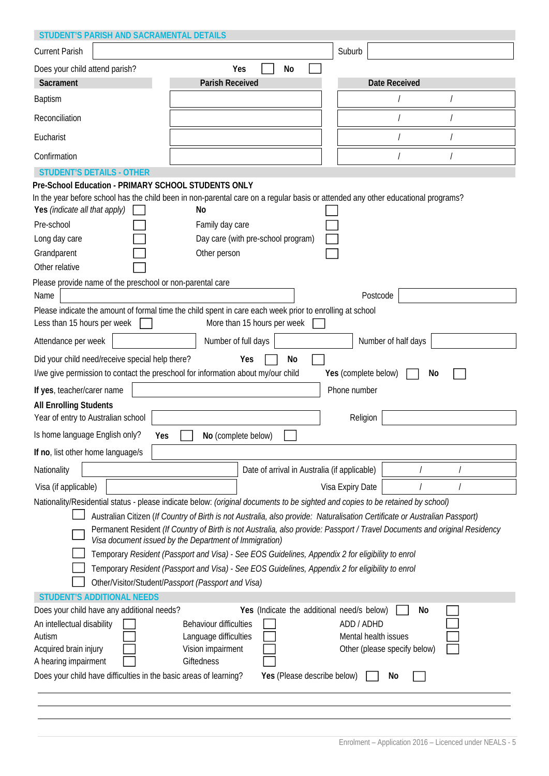| STUDENT'S PARISH AND SACRAMENTAL DETAILS                                                                                                                                                                                                                 |                                                                                                                                                                                                                                                                                                                                                                                                                                                    |                                                                                                                            |
|----------------------------------------------------------------------------------------------------------------------------------------------------------------------------------------------------------------------------------------------------------|----------------------------------------------------------------------------------------------------------------------------------------------------------------------------------------------------------------------------------------------------------------------------------------------------------------------------------------------------------------------------------------------------------------------------------------------------|----------------------------------------------------------------------------------------------------------------------------|
| <b>Current Parish</b>                                                                                                                                                                                                                                    |                                                                                                                                                                                                                                                                                                                                                                                                                                                    | Suburb                                                                                                                     |
| Does your child attend parish?                                                                                                                                                                                                                           | Yes<br>No                                                                                                                                                                                                                                                                                                                                                                                                                                          |                                                                                                                            |
| Sacrament                                                                                                                                                                                                                                                | <b>Parish Received</b>                                                                                                                                                                                                                                                                                                                                                                                                                             | <b>Date Received</b>                                                                                                       |
| <b>Baptism</b>                                                                                                                                                                                                                                           |                                                                                                                                                                                                                                                                                                                                                                                                                                                    |                                                                                                                            |
| Reconciliation                                                                                                                                                                                                                                           |                                                                                                                                                                                                                                                                                                                                                                                                                                                    |                                                                                                                            |
| Eucharist                                                                                                                                                                                                                                                |                                                                                                                                                                                                                                                                                                                                                                                                                                                    |                                                                                                                            |
| Confirmation                                                                                                                                                                                                                                             |                                                                                                                                                                                                                                                                                                                                                                                                                                                    |                                                                                                                            |
| <b>STUDENT'S DETAILS - OTHER</b>                                                                                                                                                                                                                         |                                                                                                                                                                                                                                                                                                                                                                                                                                                    |                                                                                                                            |
| Pre-School Education - PRIMARY SCHOOL STUDENTS ONLY<br>Yes (indicate all that apply)<br>Pre-school<br>Long day care<br>Grandparent<br>Other relative<br>Please provide name of the preschool or non-parental care<br>Name<br>Less than 15 hours per week | In the year before school has the child been in non-parental care on a regular basis or attended any other educational programs?<br>No<br>Family day care<br>Day care (with pre-school program)<br>Other person<br>Please indicate the amount of formal time the child spent in care each week prior to enrolling at school<br>More than 15 hours per week                                                                                         | Postcode                                                                                                                   |
| Attendance per week                                                                                                                                                                                                                                      | Number of full days                                                                                                                                                                                                                                                                                                                                                                                                                                | Number of half days                                                                                                        |
| Did your child need/receive special help there?                                                                                                                                                                                                          | Yes<br>No                                                                                                                                                                                                                                                                                                                                                                                                                                          |                                                                                                                            |
| I/we give permission to contact the preschool for information about my/our child                                                                                                                                                                         |                                                                                                                                                                                                                                                                                                                                                                                                                                                    | Yes (complete below)<br>No                                                                                                 |
| If yes, teacher/carer name                                                                                                                                                                                                                               |                                                                                                                                                                                                                                                                                                                                                                                                                                                    | Phone number                                                                                                               |
| <b>All Enrolling Students</b>                                                                                                                                                                                                                            |                                                                                                                                                                                                                                                                                                                                                                                                                                                    |                                                                                                                            |
| Year of entry to Australian school                                                                                                                                                                                                                       |                                                                                                                                                                                                                                                                                                                                                                                                                                                    | Religion                                                                                                                   |
| Is home language English only?<br>Yes                                                                                                                                                                                                                    | No (complete below)                                                                                                                                                                                                                                                                                                                                                                                                                                |                                                                                                                            |
| If no, list other home language/s                                                                                                                                                                                                                        |                                                                                                                                                                                                                                                                                                                                                                                                                                                    |                                                                                                                            |
| Nationality                                                                                                                                                                                                                                              | Date of arrival in Australia (if applicable)                                                                                                                                                                                                                                                                                                                                                                                                       |                                                                                                                            |
| Visa (if applicable)                                                                                                                                                                                                                                     |                                                                                                                                                                                                                                                                                                                                                                                                                                                    | Visa Expiry Date                                                                                                           |
|                                                                                                                                                                                                                                                          | Nationality/Residential status - please indicate below: (original documents to be sighted and copies to be retained by school)                                                                                                                                                                                                                                                                                                                     |                                                                                                                            |
|                                                                                                                                                                                                                                                          | Australian Citizen (If Country of Birth is not Australia, also provide: Naturalisation Certificate or Australian Passport)<br>Visa document issued by the Department of Immigration)<br>Temporary Resident (Passport and Visa) - See EOS Guidelines, Appendix 2 for eligibility to enrol<br>Temporary Resident (Passport and Visa) - See EOS Guidelines, Appendix 2 for eligibility to enrol<br>Other/Visitor/Student/Passport (Passport and Visa) | Permanent Resident (If Country of Birth is not Australia, also provide: Passport / Travel Documents and original Residency |
| <b>STUDENT'S ADDITIONAL NEEDS</b>                                                                                                                                                                                                                        |                                                                                                                                                                                                                                                                                                                                                                                                                                                    |                                                                                                                            |
| Does your child have any additional needs?<br>An intellectual disability<br>Autism<br>Acquired brain injury<br>A hearing impairment<br>Does your child have difficulties in the basic areas of learning?                                                 | Yes (Indicate the additional need/s below)<br>Behaviour difficulties<br>Language difficulties<br>Vision impairment<br>Giftedness<br>Yes (Please describe below)                                                                                                                                                                                                                                                                                    | No<br>ADD / ADHD<br>Mental health issues<br>Other (please specify below)<br>No                                             |
|                                                                                                                                                                                                                                                          |                                                                                                                                                                                                                                                                                                                                                                                                                                                    |                                                                                                                            |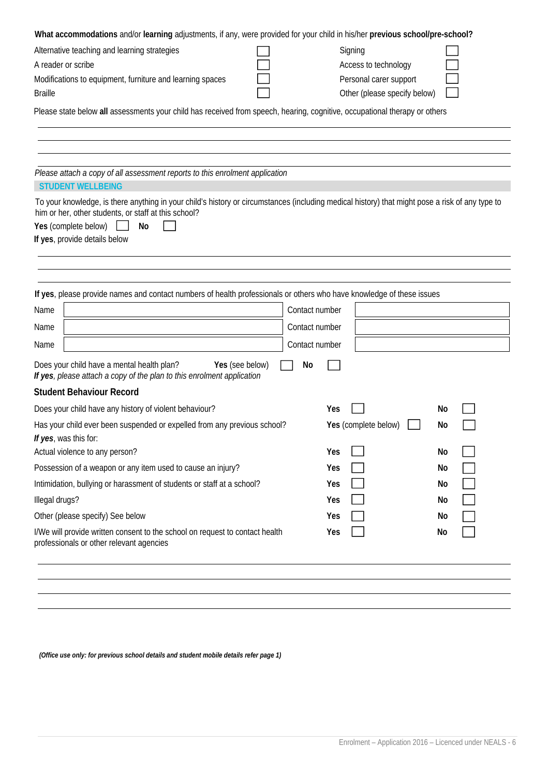| What accommodations and/or learning adjustments, if any, were provided for your child in his/her previous school/pre-school?                    |                       |                              |    |
|-------------------------------------------------------------------------------------------------------------------------------------------------|-----------------------|------------------------------|----|
| Alternative teaching and learning strategies                                                                                                    |                       | Signing                      |    |
| A reader or scribe                                                                                                                              |                       | Access to technology         |    |
| Modifications to equipment, furniture and learning spaces                                                                                       |                       | Personal carer support       |    |
| <b>Braille</b>                                                                                                                                  |                       | Other (please specify below) |    |
| Please state below all assessments your child has received from speech, hearing, cognitive, occupational therapy or others                      |                       |                              |    |
|                                                                                                                                                 |                       |                              |    |
|                                                                                                                                                 |                       |                              |    |
|                                                                                                                                                 |                       |                              |    |
| Please attach a copy of all assessment reports to this enrolment application<br><b>STUDENT WELLBEING</b>                                        |                       |                              |    |
| To your knowledge, is there anything in your child's history or circumstances (including medical history) that might pose a risk of any type to |                       |                              |    |
| him or her, other students, or staff at this school?                                                                                            |                       |                              |    |
| Yes (complete below)<br>No                                                                                                                      |                       |                              |    |
| If yes, provide details below                                                                                                                   |                       |                              |    |
|                                                                                                                                                 |                       |                              |    |
|                                                                                                                                                 |                       |                              |    |
| If yes, please provide names and contact numbers of health professionals or others who have knowledge of these issues                           |                       |                              |    |
| Name                                                                                                                                            | Contact number        |                              |    |
| Name                                                                                                                                            | Contact number        |                              |    |
| Name                                                                                                                                            | Contact number        |                              |    |
| Does your child have a mental health plan?<br>If yes, please attach a copy of the plan to this enrolment application                            | Yes (see below)<br>No |                              |    |
| <b>Student Behaviour Record</b>                                                                                                                 |                       |                              |    |
| Does your child have any history of violent behaviour?                                                                                          |                       | Yes                          | No |
| Has your child ever been suspended or expelled from any previous school?                                                                        |                       | Yes (complete below)         | No |
| If yes, was this for:                                                                                                                           |                       |                              |    |
| Actual violence to any person?                                                                                                                  |                       | Yes                          | No |
| Possession of a weapon or any item used to cause an injury?                                                                                     |                       | Yes                          | No |
| Intimidation, bullying or harassment of students or staff at a school?                                                                          |                       | Yes                          | No |
| Illegal drugs?                                                                                                                                  |                       | Yes                          | No |
| Other (please specify) See below                                                                                                                |                       | Yes                          | No |
| I/We will provide written consent to the school on request to contact health<br>professionals or other relevant agencies                        |                       | Yes                          | No |
|                                                                                                                                                 |                       |                              |    |
|                                                                                                                                                 |                       |                              |    |
|                                                                                                                                                 |                       |                              |    |

*(Office use only: for previous school details and student mobile details refer page 1)*